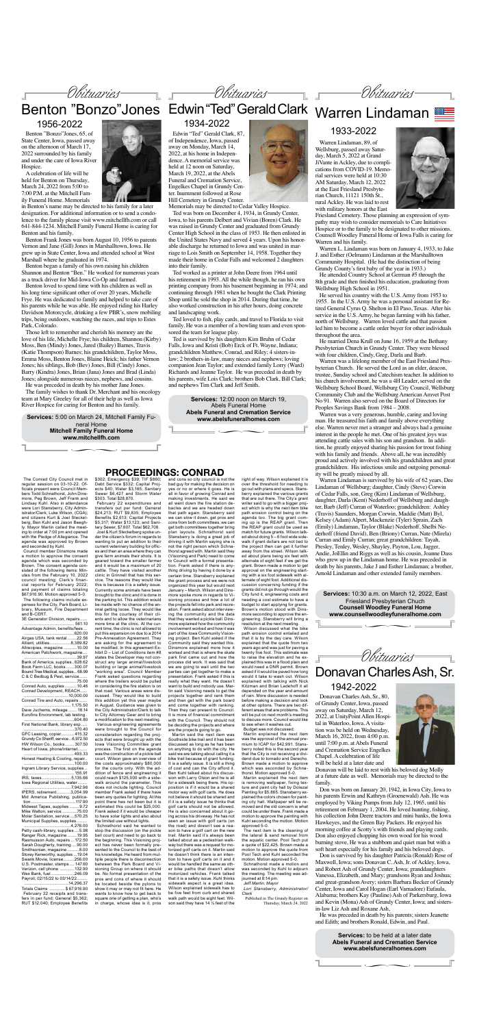

**Services:** to be held at a later date **Abels Funeral and Cremation Service www.abelsfuneralhomes.com**

 $\sim$ 



Donavan Charles Ash, Sr., 80, of Grundy Center, Iowa, passed away on Saturday, March 12, 2022, at UnityPoint Allen Hospital in Waterloo, Iowa. A visitation was be held on Wednesday, March 16, 2022, from 4:00 p.m. until 7:00 p.m. at Abels Funeral and Cremation Service Engelkes Chapel. A celebration of life will be held at a later date and

Donavan will be laid to rest with his beloved dog Molly at a future date as well. Memorials may be directed to the family.

Don was born on January 20, 1942, in Iowa City, Iowa to his parents Erwin and Kathryn (Groenewald) Ash. He was employed by Viking Pumps from July 12, 1965, until his retirement on February 1, 2004. He loved hunting, fishing, his collection John Deere tractors and mini banks, the Iowa Hawkeyes, and the Green Bay Packers. He enjoyed his morning coffee at Scotty's with friends and playing cards. Don also enjoyed chopping his own wood for his wood burning stove, He was a stubborn and quiet man but with a soft heart especially for his family and his beloved dogs.

Don is survived by his daughter Patricia (Ronald) Rose of Maxwell, Iowa; sons Donavan C. Ash, Jr. of Ackley, Iowa, and Robert Ash of Grundy Center, Iowa; granddaughters Vanessa, Elizabeth, and Mary; grandsons Ryan and Joshua; and great-grandson Avery; sisters Barbara Becker of Grundy Center, Iowa and Carol Hogan (Earl Varnadore) Eufaula, Alabama; brothers Kay (Pauline) Ash of Parkersburg, Iowa and Kevin (Mona) Ash of Grundy Center, Iowa; and sistersin-law Liz Ash and Roxane Ash,

He was preceded in death by his parents; sisters Jeanette and Edith; and brothers Ronald, Edwin, and Paul.

## 1942-2022

∏ **www.abelsfuneralhomes.com Services:** 12:00 noon on March 19, Abels Funeral Home **Abels Funeral and Cremation Service**



Edwin "Ted" Gerald Clark, 87, of Independence, Iowa, passed away on Monday, March 14, 2022, at his home in Independence. A memorial service was held at 12 noon on Saturday, March 19, 2022, at the Abels Funeral and Cremation Service, Engelkes Chapel in Grundy Center. Inurnment followed at Rose Hill Cemetery in Grundy Center.

Memorials may be directed to Cedar Valley Hospice.

Ted was born on December 4, 1934, in Grundy Center, Iowa, to his parents Delbert and Vivian (Boren) Clark. He was raised in Grundy Center and graduated from Grundy Center High School in the class of 1953. He then enlisted in the United States Navy and served 4 years. Upon his honorable discharge he returned to Iowa and was united in marriage to Lois Smith on September 14, 1958. Together they made their home in Cedar Falls and welcomed 2 daughters into their family.

Ted worked as a printer at John Deere from 1964 until his retirement in 1993. All the while though, he ran his own printing company from his basement beginning in 1974; and continuing through 1981 when he bought the Clark Printing Shop until he sold the shop in 2014. During that time, he also worked construction in his after hours, doing concrete and landscaping work.

Ted loved to fish, play cards, and travel to Florida to visit family. He was a member of a bowling team and even sponsored the team for league play.

Ted is survived by his daughters Kim Bruhn of Cedar Falls, Iowa and Kristi (Bob) Erck of Ft. Wayne, Indiana; grandchildren Matthew, Conrad, and Riley; 4 sisters-inlaw; 2 brothers-in-law, many nieces and nephews; loving companion Jean Taylor; and extended family Lorry (Ward) Richards and Jeanne Taylor. He was preceded in death by his parents, wife Lois Clark; brothers Bob Clark, Bill Clark; and nephews Tim Clark and Jeff Smith.

Benton "Bonzo"Jones, 65, of State Center, Iowa, passed away on the afternoon of March 17, 2022 surrounded by his family and under the care of Iowa River Hospice.

## 1934-2022

Warren Lindaman, 89, of Wellsburg, passed away Saturday, March 5, 2022 at Grand JiVante in Ackley, due to complications from COVID-19. Memorial services were held at 10:30 AM Saturday, March 12, 2022 at the East Friesland Presbyterian Church, 11121 150th St., rural Ackley. He was laid to rest with military honors at the East

Friesland Cemetery. Those planning an expression of sympathy may wish to consider memorials to Care Initiatives Hospice or to the family to be designated to other missions. Counsell Woodley Funeral Home of Iowa Falls is caring for Warren and his family.

Warren L. Lindaman was born on January 4, 1933, to Jake J. and Esther (Oelmann) Lindaman at the Marshalltown Community Hospital. (He had the distinction of being Grundy County's first baby of the year in 1933.)



# Benton "Bonzo"Jones Edwin "Ted" Gerald Clark Warren Lindaman

He attended Country School at German #5 through the 8th grade and then finished his education, graduating from Wellsburg High School in 1951.

He served his country with the U.S. Army from 1953 to 1955. In the U.S. Army he was a personal assistant for Retired General Cyrus Q. Shelton in El Paso, Texas. After his service in the U.S. Army, he began farming with his father, north of Wellsburg. Warren loved cattle and that passion led him to become a cattle order buyer for other individuals throughout the area.

He married Dena Krull on June 16, 1959 at the Bethany Presbyterian Church in Grundy Center. They were blessed with four children, Cindy, Greg, Darla and Barb.

Warren was a lifelong member of the East Friesland Presbyterian Church. He served the Lord as an elder, deacon, trustee, Sunday school and Catechism teacher. In addition to his church involvement, he was a 4H Leader, served on the Wellsburg School Board, Wellsburg City Council, Wellsburg Community Club and the Wellsburg American Amvet Post No 91. Warren also served on the Board of Directors for Peoples Savings Bank from 1984 – 2008.

Conrad Development, REACH. ......................................10,000.00 Conrad Tire and Auto, repairs. ........................................ 1,175.50 Dave Juchems, mileage Eurofins Environment, lab testing . ...........................................604.80

First National Bank, library exp ..... ...........................................370.40 GFC Leasing, copier........... 415.32 Grundy Co Sheriff, service...6,972.50<br>HW Wilson Co., books........ 307.50 HW Wilson Co., books... Heart of Iowa, phone/internet........ ...........................................493.33 Honest Heating & Cooling, repair..  $...100.00$ Ingram Library Service, supplies ...........................................155.91 IRS, taxes... Iowa Regional Utilities, water ............<br>.7,942.96<br>.3,054.99 IPERS, retirement.

Warren was a very generous, humble, caring and loving man. He treasured his faith and family above everything else. Warren never met a stranger and always had a genuine interest in the people he met. One of his greatest joys was attending cattle sales with his son and grandson. In addition, he greatly enjoyed sharing his passion for trout fishing with his family and friends. Above all, he was incredibly proud and actively involved with his grandchildren and great grandchildren. His infectious smile and outgoing personality will be greatly missed by all.

....14,296.37<br>.\$67,916.90 **Totals Claims** February 22 receipts and transfers in per fund: General \$5,362; RUT \$12,040; Employee Benefits

Warren Lindaman is survived by his wife of 62 years, Dee Lindaman of Wellsburg; daughter, Cindy (Steve) Corwin of Cedar Falls, son, Greg (Kim) Lindaman of Wellsburg, daughter, Darla (Kent) Nederhoff of Wellsburg and daughter, Barb (Jeff) Curran of Waterloo; grandchildren: Ashley (Travis) Saunders, Morgan Corwin, Maddie (Matt) Byl, Kelsey (Adam) Alpert, Mackenzie (Tyler) Sprain, Zach (Emily) Lindaman, Taylor (Blake) Nederhoff, Shelbi Nederhoff (friend David), Ben (Briony) Curran, Nate (Mirela) Curran and Emily Curran; great grandchildren: Tayah, Presley, Tenley, Wesley, Shayley, Payton, Lou, Jagger, Andie, JoEllin and Riggs as well as his cousin, Joanne Dass who grew up in the Lindaman home. He was preceded in death by his parents, Jake J and Esther Lindaman; a brother, Arnold Lindaman and other extended family members.

Obituaries

∏ **www.counsellwoodleyfuneralhome.com Services:** 10:30 a.m. on March 12, 2022, East Friesland Presbyterian Chuch **Counsell Woodley Funeral Home**



## 1933-2022

∏ **www.mitchellfh.com Services:** 5:00 on March 24, Mitchell Family Funeral Home **Mitchell Family Funeral Home**

Place photo

A celebration of life will be held for Benton on Thursday, March 24, 2022 from 5:00 to 7:00 P.M. at the Mitchell Family Funeral Home. Memorials

in Benton's name may be directed to his family for a later designation. For additional information or to send a condolence to the family please visit www.mitchellfh.com or call 641-844-1234. Mitchell Family Funeral Home is caring for Benton and his family.

Benton Frank Jones was born August 10, 1956 to parents Vernon and Jane (Gill) Jones in Marshalltown, Iowa. He grew up in State Center, Iowa and attended school at West Marshall where he graduated in 1974.

Benton began a family of his own raising his children Shannon and Benton "Ben." He worked for numerous years as a truck driver for Mid-Iowa Co-Op and farmed.

Benton loved to spend time with his children as well as his long time significant other of over 20 years, Michelle Frye. He was dedicated to family and helped to take care of his parents while he was able. He enjoyed riding his Harley Davidson Motorcycle, drinking a few PBR's, snow mobiling trips, being outdoors, watching the races, and trips to Estes Park, Colorado.

Those left to remember and cherish his memory are the love of his life, Michelle Frye; his children, Shannon (Kirby) Moss, Ben (Mindy) Jones, Jared (Bailey) Barnes, Travis (Katie Thompson) Barnes; his grandchildren, Taylor Moss, Emma Moss, Benton Jones, Blaine Heick; his father Vernon Jones; his siblings, Bob (Bev) Jones, Bill (Cindy) Jones, Barry (Kindra) Jones, Brian (Jana) Jones and Brad (Linda) Jones; alongside numerous nieces, nephews, and cousins.

He was preceded in death by his mother Jane Jones. The family wishes to thank Dr. Merchant and his oncology

team at Mary Greeley for all of their help as well as Iowa River Hospice for caring for Benton and his family.

1956-2022

## **PROCEEDINGS: CONRAD**

The Conrad City Council met in regular session on 03-10-22. Officials present were Council Members Todd Schnathorst, John Dinsmore, Peg Brown, Jeff Frank and Lindsay Kuhl. Also in attendance were Lori Stansberry, City Administrator/Clerk; Luke Wilson, (CGA); and citizens Kurt & Joel Steckelberg, Ben Kuhl and Jason Beeghly. Mayor Martin called the meeting to order at 7:00 pm and opened

with the Pledge of Allegiance. The agenda was approved by Brown and seconded by Kuhl.

Council member Dinsmore made a motion to approve the consent agenda which was seconded by Brown. The consent agenda consisted of the following items: Minutes from the February 10, 2022 council meeting; Clerk's financial reports for February 2022; and payment of claims totaling \$67,916.90. Motion approved 5-0. The following claims include expenses for the City, Park Board, Library, Museum, Fire Department and B-CERT.

3E Generator Division, repairs...... ........................................... 561.10

Advantage Admin, benefits/fees ... ..620.00<br>65.22 Airgas USA, tank rental ........22.56<br>Alliant, utilities ...................8,389.82 Alliant, utilities....................8,389.82<br>Allrecipies, magazine ........... 10.00 Allrecipies, magazine American Patchwork, magazine.... .............................................39.97 Bank of America, supplies..628.62

Book Farm LLC, books .......300.07 Bound Tree Medical, supplies... 68.99 C & C Bedbug & Pest, service.......<br>75.00 .............................................75.00 Conrad Auto, supplies ..........10.46

Mid America Publishing, publication......................................117.90 Midwest Tapes, supplies ........ 9.72<br>Mike Walton, service ........... 75.00 Mike Walton, service. Moler Sanitation, service....570.25 Municipal Supplies, supplies .........

| 4,276.00                          |
|-----------------------------------|
| Petty cash-library, supplies5.98  |
| Ranger Rick, magazine  19.95      |
| Rasmusson Auto, repairs  172.50   |
| Sarah Dougherty, training 90.00   |
| Smithsonian, magazine8.00         |
| Storey Kenworthy, supplies  19.04 |
| Swank Movie, license 256.00       |
| U.S. Postmaster, stamps, 147.60   |
| Verizon, cell phone  132.90       |
| Wex Bank, fuel246.09              |
| Payroll, 02/15/22 to 03/14/22     |

\$302; Emergency \$39; TIF \$860; Debt Service \$332; Capital Projects \$40; Water \$3,165; Sanitary Sewer \$6,427 and Storm Water \$303. Total \$28,870.

February 22 expenditures and transfers out per fund: General \$24,213; RUT \$9,835; Employee Benefits \$2,613; Capital Projects \$5,317; Water \$13,123; and Sanitary Sewer, \$7,607. Total \$62,708. Joel & Kurt Steckelberg spoke under the citizen's forum in regards to wanting to put an addition to their current veterinary building for offices and then an area where they can give farm animals their shots. It is geared toward the smaller farmer and it would be a maximum of 20 cattle. They have visited another clinic in Grinnell that has this service. The reasons they would like this is because it is a safety issue. Currently some animals have been brought to the clinic and it is done in the parking lot. This addition would be inside with no chance of the animal getting loose. They would like this for the courtesy of their clients and to allow the veterinarians more time at the clinic. At the current time, the clinic is not allowed to put this expansion on due to a 2014 Pre-Annexation Agreement. They are asking for the agreement to be modified. In this agreement Exhibit D – List of Conditions item #8 states the Developer may not construct any large animal/livestock building or large animal/livestock "working area". Council Member Frank asked questions regarding where the trailers would be pulled in considering the fire station is on that road. Various areas were discussed. They would like to build this addition yet this year maybe in August. Guidance was given to the City Administrator/Clerk to talk to City Attorney Geer and to bring a modification to the next meeting. Various engineering agreements were brought to the Council for consideration regarding the projects that were brought up with the Iowa Visioning Committee grant process. The first on the agenda was the construction of a pickle ball court. Wilson gave an overview of the costs approximately \$80,000 for the courts only. With the addition of fence and engineering it could reach \$125,000 with a sidewalk around the parameter. This does not include lighting. Council member Frank asked if there have been any quotes for lighting. At this point there has not been but it is estimated this could be \$25,000. Frank asked if it would be cheaper to have solar lights and also about

the limited use without lights. Schnathorst said he wanted to stop the discussion (on the pickle ball court) and need to go back to the beginning. This Visioning project has never been formally presented to the Council to the best of his knowledge. He heard from multiple people there is disconnection between the Park Board and Visioning Group on where it should be. No formal presentation of the pros and cons of where it should be located beside the pylons to show it may or may not fit here. He wants to know how to get back to square one of getting a plan, who's in charge, whose idea is it, pros

and cons so city council is not the bad guy for making the decision on yes or no or where it goes. He is all in favor of growing Conrad and making investments. He said we all went down the fire station debacles and we are headed down that path again. Stansberry said we can slow it down, get pros and cons from both committees, we can get both committees together bring plan layouts. Schnathorst said Stansberry is doing a great job of driving it with Martin saying she is not the right person which Schnathorst agreed with. Martin said they (Visioning and Park) need to come to Council with a formal presentation. Frank asked if there is anything driving by having it done by a certain time. Stansberry explained the grant process and we were not organized this year but would next January – March. Wilson and Dinsmore spoke more in regards to Visioning process and how a lot of the projects fell into park and recreation. Frank asked about interviewing the community and the data that they wanted a pickle ball. Dinsmore explained how the community involvement worked and how it was part of the Iowa Community Visioning project. Ben Kuhl asked if the Community said they wanted this. Dinsmore explained more how it worked and that is where the skate park first came out and how the process did work. It was said that we are going to wait until the two parties can get together to make a presentation. Frank asked if this is really what they want. He doesn't want to build and nobody use. Martin said Visioning needs to get the projects together and rank them and then get with the park board and come together with ranking. Then they can present to Council. It is more of financial commitment with the Council. They should not be deciding the projects and where are the projects going to go. Martin said the next item was Southside bike trail and it has been discussed as long as he has been on anything to do with the city. He said we are talking about calling it a bike trail because of grant funding. It is a safety issue. It is still a thing of cost and can the City afford it. Ben Kuhl talked about his discussion with Larry Olson and he is all for a sidewalk being there. His opposition is if it would be a shared motor way with golf carts. He does not believe it should be shared and if it is a safety issue he thinks that golf carts should not be allowed. He is also concerned about it going across his driveway. He has not seen an issue with golf carts (on the road) and doesn't see a reason to have a golf cart on the new trail. Martin said it's always been talked about as a pedestrian walkway but there was a request for motorized golf carts on it. Martin said he doesn't think there is an intention to have golf carts on it and it would be handled the same as other bike paths that doesn't allow motorized vehicles. Frank talked that it is a safety issue. Kuhl thinks sidewalk aspect is a great idea. Wilson explained sidewalk has to be five feet from curb and shared walk path would be eight feet. Wilson said they have 14 ½ feet of the

right of way. Wilson explained it is over the threshold for needing to go out with plans and specs. Stansberry explained the various grants that are out there. The City's grant writer said to go with a bigger project which is why the next item bike path erosion control being on the agenda too. The big grant coming up is the REAP grant. Then the REAP grant could be used as match for future grants. Wilson talked about doing 5 – 6 foot wide sidewalk if grant dollars are not tied to the project then can get it further away from the street. Wilson talked about plans being six feet with alternate of eight feet if we get the grant. Brown made a motion to get approval on the engineering starting with a six foot sidewalk with alternate of eight foot. Additional discussion concerning funding if the grants did not go through would the City fund it, engineering costs and needing a cost estimate to have a budget to start applying for grants. Brown's motion stood with Dinsmore seconding to approve the engineering. Stansberry will bring a resolution at the next meeting. Wilson discussed what the bike path erosion control entailed and that it is by the day care. Wilson explained that the quote from two years ago and was just for paving a twenty five foot. This estimate was to raise the elevation and he explained this was in a flood plain and would need a DNR permit. Brown asked if it would be paved how long would it take to wash out. Wilson explained with talking with Nick Kitzman and Brian Ladehoff it all depended on the year and amount of rain. More discussion is needed before making a decision and look at other options. There are two different areas that are problems. This will be put on next month's meeting to discuss more. Council would like to see when it washes out. Budget was not discussed. Martin explained the next item was the approval of the annual premium to ICAP for \$42,991. Stansberry noted this is the second year that the City is not receiving a dividend due to tornado and Derecho. Brown made a motion to approve which was seconded by Schnathorst. Motion approved 5-0. Martin explained the next item is removing wallpaper, fixing texture and paint city hall by Dolezal Painting for \$5,865. Stansberry explained the colors chosen for painting city hall. Wallpaper will be removed and the old concern is what could be under there. Frank made a motion to approve the painting with Kuhl seconding the motion. Motion approved 5-0. The next item is the cleaning of the lateral & sand removal from the aquatic center. Pool Tech put a quote of \$22,425. Brown made a motion to approve the quote from Pool Tech and Kuhl seconded the motion. Motion approved 5-0.

Schnathorst made a motion and was seconded by Kuhl to adjourn the meeting. The meeting was adjourned at 8:14 pm. *Jeff Martin, Mayor*

*Lori Stansberry, Administrator/ Clerk*

Published in The Grundy Register on Thursday, March 24, 2022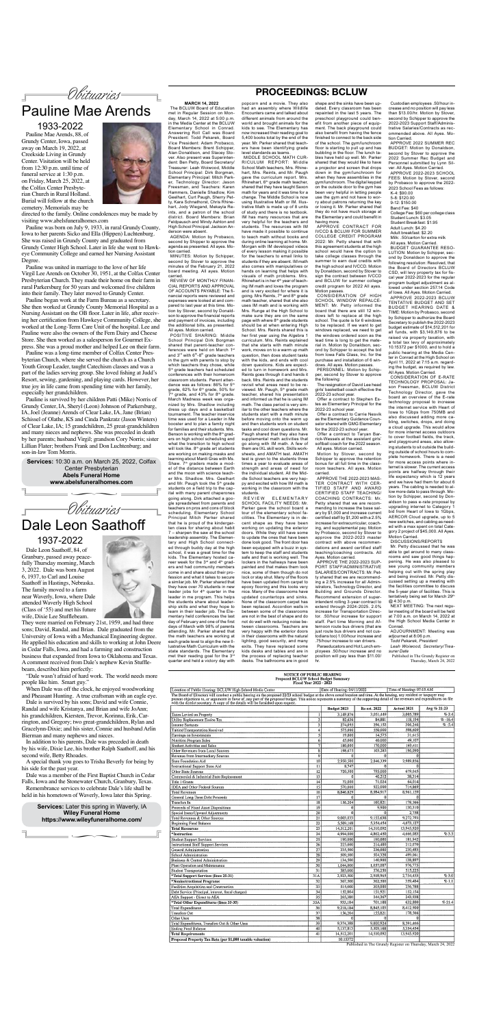## **PROCEEDINGS: BCLUW**

#### **MARCH 14, 2022**

The BCLUW Board of Education met in Regular Session on Monday, March 14, 2022 at 5:00 p.m. in the Media Center at the BCLUW Elementary School in Conrad. Answering Roll Call was Board President: Todd Pekarek, Board Vice President: Adam Probasco, Board Members: Brent Schipper, Alan Donaldson, and Stacey Stover. Also present was Superintendent: Ben Petty, Board Secretary/ Treasurer: Leah Woiwood, Middle School Principal: Dirk Borgman, Elementary Principal: Mitch Parker, Technology Director: Jason Freesman, and Teachers: Karen Hammers, Danielle Shadlow, Kim Geelhart, Curt Paugh, Sherry Petty, Kara Schnathorst, Chris Rhinehart, Jody Wiegand, Mekayla Reints, and a patron of the school district. Board Members: Brian Feldpausch and Mindy Ashton and High School Principal: Jackson Anderson were absent.

AGENDA: Motion by Probasco, second by Shipper to approve the agenda as presented. All ayes. Motion carried.

MINUTES: Motion by Schipper, second by Stover to approve the minutes of the February 21, 2022 board meeting. All ayes. Motion carried.

REVIEW OF MONTHLY FINAN-CIAL REPORTS AND APPROVAL OF ACCOUNTS PAYABLE: The financial reports were reviewed and expenses were looked at and compared to last year at this time. Motion by Stover, second by Donaldson to approve the financial reports and payment of invoices, including the additional bills, as presented. All ayes. Motion carried.

MIDDLE SCHOOL MATH CUR-RICULUM REPORT: Middle School Math teachers, Mrs. Rhinehart, Mrs. Reints, and Mr. Paugh gave the curriculum report. Mrs. Rhinehart, 6th grade math teacher, shared that they have taught Saxon math for years and it was time for a change. The Middle School is now using Illustrative Math or IM. Illustrative Math is made up of 8 units of study and there is no textbook. IM has many resources that are very helpful for the teachers and students. The resources with IM have made it possible to continue to teach math without books and during online learning at home. Mr. Morgan with IM developed videos of every lesson making it possible for the teachers to email links to students if they are absent. IM math also comes with manipulatives or hands on learning that helps with visuals of math problems. Mrs. Rhinehart is in her 4<sup>th</sup> year of teaching IM math and loves the program and is very excited for where it is going. Mrs Reints, 7<sup>th</sup> and 8<sup>th</sup> grade math teacher, shared that she also uses IM math and is working with Mrs. Runge at the High School to make sure they are on the same page with where 8<sup>th</sup> grade students should be at when entering High School. Mrs. Reints shared this is her first year using the Algebra 1 curriculum. Mrs. Reints explained that she starts with math minute work, moves on to a warm up math question, then does student tasks with the kids, and ends with cool down questions. Kids are expected to turn in homework and Mrs. Reints goes through it and hands it back. Mrs. Reints and the students revisit what areas need to be reviewed. Mr. Paugh, 5<sup>th</sup> grade math teacher, shared his presentation and informed us that he is using IM math. The class period is very similar to the other teachers where the students start with a math minute before moving onto the warm up and then students work on student tasks and cool down questions. Mr. Paugh shared that they also have supplemental math activities that go along with IM math. A few of them are IXL skill work, Skills worksheets, and AMATH test. AMATH test is given to the students three times a year to evaluate areas of strength and areas of need for the individual student. All the Middle School teachers are very happy and excited with how IM math is working in the classroom with the students.<br>R F V I F W

POSITIVE SHARING: Middle School Principal Dirk Borgman shared that parent-teacher conferences were held on March 1st and 3rd with 6th-8th grade teachers in the gym with parents to stop by which teachers they chose, while 5<sup>th</sup> grade teachers had scheduled conferences with their homeroom classroom students. Parent attendance was as follows: 86% for 5<sup>th</sup> grade, 62% for 6<sup>th</sup> grade, 50% for  $7<sup>th</sup>$  grade, and 43% for 8<sup>th</sup> grade. March Madness week was organized by Mrs. Shadlow including dress up days and a basketball tournament. The teacher inservice time was used for a Leader in Me booster and to plan a family night for families and their students. Mrs. Benson is working with the  $8<sup>th</sup>$  graders on high school scheduling and what the transition to high school will look like. 8<sup>th</sup> grade art students are working on making masks and learning about Mardi Gras with Ms. Shaw. 7<sup>th</sup> graders made a model of the distance between Earth and the moon with science teacher Mrs. Shadlow. Mrs. Geelhart and Mr. Paugh took the 5<sup>th</sup> grade students on a field trip to the capital with many parent chaperones going along. Dirk attached a google spreadsheet from parents and teachers on pros and cons of block scheduling. Elementary School Principal Mitch Parker shared that he is proud of the kindergarten class for sharing about habit 7 – sharpen the saw at the school leadership assembly. The Elementary and High School connected through buddy day at the high school, it was a great time for the kids. The Elementary hosted career week for the 3rd and 4th graders and had community members come in and share about their profession and what it takes to secure a similar job. Mr. Parker shared that they have over 70 students in new leader jobs for  $4<sup>th</sup>$  quarter in the leader in me program. This helps the students share about leadership skills and what they hope to learn in their leader job. The Elementary held conferences the last day of February and one of the first days of March with 98% of parents attending. Mr. Parker shared that the math teachers are working at each grade level to align the new Illustrative Math Curriculum with the state standards. The Elementary met their reading goal for the 3<sup>rd</sup> quarter and held a victory day with

**ELEMENTARY** SCHOOL FACILITY NEEDS: Mr. Parker gave the school board a tour of the elementary school facilities. The Elementary is in decent shape as they have been working on updating the exterior doors. While they still have some to update the ones that have been done look good. The front door has been equipped with a buzz in system to keep the staff and students safe and that is working well. The lockers in the hallways have been painted and that makes them look nice, some of them though do not lock or stay shut. Many of the floors have been updated from carpet to epoxy flooring and this looks very nice. Many of the classrooms have updated countertops and sinks. None of the classroom carpet has been replaced. Accordion walls in between some of the classrooms are not in the best of shape and do not do well with reducing noise between classrooms. Teachers are very happy with the exterior doors in their classrooms with the natural lighting, good security, and many exits. They have replaced some kids desks and tables and are in the process of replacing teacher desks. The bathrooms are in good

popcorn and a movie. They also had an assembly where Wildlife Encounters came and talked about different animals from around the world and brought animals for the kids to see. The Elementary has now increased their reading goal to 5,400 books total by the end of the year. Mr. Parker shared that teachers have been identifying grade level standards as teams.

> PERSONNEL: Motion by Schipper, second by Stover to approve the following: The resignation of David Lee head

> > able to get around to many classrooms and saw good things happening. He was also pleased to see young community members helping out with the spring play and being involved. Mr. Petty discussed setting up a meeting with the facilities committee to discuss the 5-year plan of facilities. This is tentatively being set for March 29th

shape and the sinks have been updated. Every classroom has been repainted in the last 5 years. The preschool playground could benefit from another piece of equipment. The back playground could also benefit from having the fence finished to connect to the back side of the school. The gym/lunchroom floor is starting to pull up and has bubbling in the floor. The lunch tables have held up well. Mr. Parker shared that they would like to have a projector and screen that drops down in the gym/lunchroom for when they have assemblies in the gym/lunchroom. The digital keypad on the outside door to the gym has been very helpful in letting people use the gym and not have to worry about patrons returning the key or losing it. Mr. Parker shared that they do not have much storage at the Elementary and could benefit in having more.

APPROVE CONTRACT FOR IVCCD & BCLUW FOR SUMMER COLLEGE CREDIT PROGRAM 2022: Mr. Petty shared that with this agreement students at the high school would have the option to take college classes through the summer to earn dual credits with the high school and IVCCD. Motion by Donaldson, second by Stover to sign the contract between IVCCD and BCLUW for summer college credit program for 2022 All ayes. Motion passes.

CONSIDERATION OF HIGH SCHOOL WINDOW REPALCE-MENT: Mr. Petty informed the board that there are still 12 windows left to replace at the high school. The quote is for 6 windows to be replaced. If we want to get windows replaced, we need to get the windows ordered soon as the lead time is long to get the material in. Motion by Donaldson, second by Schipper to accept the bid from Iowa Falls Glass, Inc. for the purchase and installation of 6 windows. All ayes. Motion passes.

girls' basketball coach effective the 2022-23 school year.

Offer a contract to Stephen Estes as Elementary Principal for the 2022-23 school year.

Offer a contract to Carrie Nesvik as the Elementary Guidance Counselor shared with GMG Elementary for the 2022-23 school year.

Offer a contract to Taryan Barrick-Wessels at the assistant girls' softball coach for the 2022 season. All ayes. Motion carried.

Motion by Stover, second by Schipper to approve the retention bonus for all full time in the classroom teachers. All ayes. Motion carried.

APPROVE THE 2022-2023 MAS-TER CONTRACT WITH CER-TIFIED STAFF AND AWARD CERTIFIED STAFF TEACHING/ COACHING CONTRACTS: Mr. Petty shared that we are recommending to increase the base salary by \$1,000 and increase current certified staff by \$1,200 with a 2.5% increase for extracurricular, coaching, and supplemental pay. Motion by Probasco, second by Stover to approve the 2022-2023 master

contract with above recommendations and award certified staff teaching/coaching contracts. All Ayes. Motion carried.

APPROVE THE 2022-2023 SUP-PORT STAFF/ADMINISTRATIVE SALARIES/CONTRACTS: Mr. Petty shared that we are recommending a 2.5% increase for all Administrators, Technology Director, and Building and Grounds Director. Recommend extension of superintendent rolling 3-year contract to extend through 2024-2025. 2.0% increase for Transportation Director. .50/hour increase for support staff. Part time Morning and Afternoon route bus drivers (that are just route bus drivers and not custodians too) 1.00/hour increase and .75/hour increase to van drivers. Paraeducators and Hot Lunch employees .50/hour increase and no position will pay less than \$11.00/

hr.

Date of Hearing: 04/11/2022 Location of Public Hearing: BCLUW High School Media Center Time of Hearing: 07:15 AM The Board of Directors will conduct a public hearing on the proposed 22/23 school budget at the above noted location and time. At the hearing, any resident or taxpayer may present objections to, or arguments in favor of, a

|                                                            |                         | Budget 2023 | Re-est. 2022   | Actual 2021 | Avg % 21-23 |
|------------------------------------------------------------|-------------------------|-------------|----------------|-------------|-------------|
| Taxes Levied on Property                                   | I                       | 3,149,876   | 3,051,449      | 3,005,789   | %2.4        |
| Utility Replacement Excise Tax                             | $\overline{2}$          | 82.636      | 84.881         | 118,194     | $% -16.4$   |
| <b>Income Surtaxes</b>                                     | $\overline{\mathbf{3}}$ | 274,095     | 296,152        | 306.246     | $% -5.4$    |
| Tuition\Transportation Received                            | 4                       | 575,000     | 550,000        | 598,609     |             |
| Earnings on Investments                                    | 5                       | 19,800      | 14,575         | 31,615      |             |
| Nutrition Program Sales                                    | 6                       | 45,000      | 40,000         | 49,107      |             |
| Student Activities and Sales                               | 7                       | 180,000     | 170,000        | 169,411     |             |
| Other Revenues from Local Sources                          | $\overline{\mathbf{8}}$ | 198,675     | 103,285        | 196,090     |             |
| Revenue from Intermediary Sources                          | 9                       | $\theta$    | 0              |             |             |
| State Foundation Aid                                       | 10                      | 2,950,500   | 2,846,339      | 2,989,856   |             |
| <b>Instructional Support State Aid</b>                     | 11                      | 8.747       | 0              | O.          |             |
| Other State Sources                                        | $\overline{12}$         | 720,500     | 795,000        | 679,045     |             |
| Commercial & Industrial State Replacement                  | $\overline{13}$         | $\theta$    | 40.212         | 38,314      |             |
| Title 1 Grants                                             | 14                      | 72,000      | 71.024         | 64,014      |             |
| <b>IDEA</b> and Other Federal Sources                      | 15                      | 570,000     | 922,000        | 714,869     |             |
| <b>Total Revenues</b>                                      | 16                      | 8,846,829   | 8,984,917      | 8,961.159   |             |
| General Long-Term Debt Proceeds                            | $\overline{17}$         | $\theta$    | 0              | ß           |             |
| Transfers In                                               | 18                      | 156,204     | 160,821        | 178,566     |             |
| Proceeds of Fixed Asset Dispositions                       | $\overline{19}$         | $\bf{0}$    | 9,900          | 130,310     |             |
| Special Items/Upward Adjustments                           | 20                      | $\Omega$    | 0              | 2,758       |             |
| Total Revenues & Other Sources                             | $\overline{21}$         | 9,003,033   | 9,155,638      | 9,272,793   |             |
| Beginning Fund Balance                                     | $\overline{22}$         | 5,509,168   | 5,354,454      | 4,673,127   |             |
| <b>Total Resources</b>                                     | 23                      | 14,512,201  | 14,510,092     | 13,945,920  |             |
| *Instruction                                               | $\overline{24}$         | 4,994,000   | 4,862,450      | 4,666,083   | %3.5        |
| <b>Student Support Services</b>                            | $\overline{25}$         | 190,000     | 190,000        | 181,942     |             |
| <b>Instructional Staff Support Services</b>                | $\overline{26}$         | 225,000     | 214,400        | 212,070     |             |
| General Administration                                     | $\overline{27}$         | 235,500     | 236,000        | 230,483     |             |
| School Administration                                      | 28                      | 509,500     | 504,328        | 499,061     |             |
| Business & Central Administration                          | 29                      | 134,500     | 140,900        | 138,897     |             |
| Plant Operation and Maintenance                            | $\overline{30}$         | 1,044,000   | 1,057,087      | 976,775     |             |
| Student Transportation                                     | $\overline{31}$         | 585,000     | 576,250        | 515,225     |             |
| *Total Support Services (lines 25-31)                      | 31A                     | 2,923,500   | 2,918,965      | 2,754,453   | %3.0        |
| *Noninstructional Programs                                 | $\overline{32}$         | 367,500     | 362,500        | 359,484     | %1.1        |
| Facilities Acquisition and Construction                    | $\overline{33}$         | 515,000     | 305,000        | 236,788     |             |
| Debt Service (Principal, interest, fiscal charges)         | $\overline{34}$         | 152,804     | 151,921        | 152,154     |             |
| AEA Support - Direct to AEA                                | $\overline{35}$         | 265,380     | 244,267        | 243,938     |             |
| *Total Other Expenditures (lines 33-35)                    | 35A                     | 933,184     | 701,188        | 632,880     | % 21.4      |
| <b>Total Expenditures</b>                                  | $\overline{36}$         | 9,218,184   | 8,845,103      | 8,412,900   |             |
| <b>Transfers Out</b>                                       | $\overline{37}$         | 156,204     | 155,821        | 178,566     |             |
| Other Uses                                                 | 38                      | ŋ           | $\Omega$       | $\Omega$    |             |
| Total Expenditures, Transfers Out & Other Uses             | 39                      | 9,374,388   | 9,000,924      | 8,591,466   |             |
| <b>Ending Fund Balance</b>                                 | 40                      | 5,137,813   | 5,509,168      | 5,354,454   |             |
| <b>Total Requirements</b>                                  | $\overline{41}$         | 14,512,201  | 14,510,092     | 13,945,920  |             |
| Proposed Property Tax Rate (per \$1,000 taxable valuation) |                         | 10.15372    |                |             |             |
|                                                            |                         |             | $\overline{a}$ |             |             |

Custodian employees .50/hour increase and no position will pay less than \$13.00/hr. Motion by Stover, second by Schipper to approve the 2022-2023 Support Staff/Administrative Salaries/Contracts as recommended above. All Ayes. Motion Carried.

APPROVE 2022 SUMMER REC BUDGET: Motion by Donaldson, second by Stover to approve the 2022 Summer Rec Budget and Personnel submitted by Lynn Silver. All Ayes. Motion Carried. APPROVE 2022-2023 SCHOOL FEES: Motion by Stover, second by Probasco to approve the 2022- 2023 School Fees as follows: K-4: \$90.00 5-8: \$120.00  $9-12: $150.00$ Band Fee: \$40

College Fee: \$60 per college class Student Lunch: \$3.05 Student Breakfast: \$1.95

Adult Lunch: \$4.20 Adult breakfast: \$2.20 Milk: .50/carton for extra milk All ayes. Motion Carried.

BUDGET GUARANTEE RESO-LUTION: Motion by Schipper, second by Donaldson to approve the following resolution: Resolved, that the Board of Directors BCLUW CSD, will levy property tax for fiscal year 2022-2023 for the regular program budget adjustment as allowed under section 257.14 Code of Iowa. All Ayes. Motion Carried. APPROVE 2022-2023 BCLUW TENTATIVE BUDGET AND SET BUDGET HEARING DATE & TIME: Motion by Probasco, second by Schipper to authorize the Board Secretary to publish the 2022-2023 budget estimate of \$14,512,201 for all funds, with \$3,149,876 to be raised via property taxation, with a total tax levy of approximately 10.15372 per \$1000, and to hold a public hearing at the Media Center in Conrad at the High School on April 11, 2022 at 7:15 a.m. regarding the budget, as required by law.

All Ayes. Motion Carried. CONSIDERATION OF E-RATE TECHNOLOGY PROPOSAL: Jason Freesman, BCLUW District Technology Director, gave the board an overview of the E-rate technology proposal to increase the internet service with Heart of Iowa to 1Gbps from 750MB and also discussed adding more cabling, switches, drops, and doing a cloud upgrade. This would allow for more internet access outdoors to cover football fields, the track, and playground areas, also allowing students to sit outside the building outside of school hours to complete homework. There is a need for more access points where internet is slower. The current access points are halfway through their life expectancy which is 12 years and we have had them for about 6 years. The cabling is needed to allow more data to pass through. Motion by Schipper, second by Donaldson to pass e-rate proposal by upgrading internet to Category 1 bid from Heart of Iowa to 1Gbps, AERCOR Cloud upgrade, up to 5 new switches, and cabling as needed with a max spent on total Category 2 project of \$45,000. All Ayes.

Motion Carried. DISCUSSIONS/REPORTS Mr. Petty discussed that he was

@ 4:30 p.m.

NEXT MEETING: The next regular meeting of the board will be held at  $7:00$  a.m. on March 14, 2022 at the High School Media Center in Conrad.

ADJOURNMENT: Meeting was adjourned at 8:06 p.m.

T*odd Pekarek, President Leah Woiwood, Secretary/Treasurer Date*

Published in The Grundy Register on Thursday, March 24, 2022

# NOTICE OF PUBLIC HEARING<br>Proposed BCLUW School Budget Summ<br>Fiscal Year 2022 - 2023

Published in The Grundy Register on Thursday, March 24, 2022



# Pauline Mae Arends

∏ **www.abelsfuneralhomes.com Services:** 10:30 a.m. on March 25, 2022, Colfax Center Presbyterian **Abels Funeral Home**



Pauline Mae Arends, 88, of Grundy Center, Iowa, passed away on March 19, 2022, at Creekside Living in Grundy Center. Visitation will be held from 12:30 p.m. until time of funeral service at 1:30 p.m. on Friday, March 25, 2022, at the Colfax Center Presbyterian Church in Rural Holland. Burial will follow at the church cemetery. Memorials may be

directed to the family. Online condolences may be made by visiting www.abelsfuneralhomes.com

Pauline was born on July 9, 1933, in rural Grundy County, Iowa to her parents Sicko and Ella (Hippen) Luchtenburg. She was raised in Grundy County and graduated from Grundy Center High School. Later in life she went to Hawkeye Community College and earned her Nursing Assistant Degree.

Pauline was united in marriage to the love of her life Virgil Lee Arends on October 30, 1951, at the Colfax Center Presbyterian Church. They made their home on their farm in rural Parkersburg for 50 years and welcomed five children into their family. They later moved to Grundy Center.

Pauline began work at the Farm Bureau as a secretary. She then worked at Grundy County Memorial Hospital as a Nursing Assistant on the OB floor. Later in life, after receiving her certification from Hawkeye Community College, she worked at the Long-Term Care Unit of the hospital. Lee and Pauline were also the owners of the Fern Dairy and Cheese Store. She then worked as a salesperson for Gourmet Express. She was a proud mother and helped Lee on their farm.

Pauline was a long-time member of Colfax Center Presbyterian Church, where she served the church as a Church Youth Group Leader, taught Catechism classes and was a part of the ladies serving group. She loved fishing at Judd's Resort, sewing, gardening, and playing cards. However, her true joy in life came from spending time with her family, especially her grandchildren.

Pauline is survived by her children Patti (Mike) Norris of Grundy Center, IA, Sheryl (Leon) Johnson of Parkersburg, IA, Joel (Jeanne) Arends of Clear Lake, IA, Jane (Brian) Schissel of Olathe, KS and Cinda Pankratz (Jason Winters) of Clear Lake, IA; 15 grandchildren, 25 great-grandchildren and many nieces and nephews. She was preceded in death by her parents; husband Virgil; grandson Cory Norris; sister Lillian Flater; brothers Frank and Don Luchtenburg; and son-in-law Tom Morris.

1933-2022

**Services:** Later this spring in Waverly, IA **Wiley Funeral Home https://www.wileyfuneralhome.com/**

 $\sim$ 



Dale Leon Saathoff, 84, of Granbury, passed away peacefully Thursday morning, March 3, 2022. Dale was born August 6, 1937, to Carl and Louise Saathoff in Hastings, Nebraska. The family moved to a farm near Waverly, Iowa, where Dale attended Waverly High School (Class of '55) and met his future wife, Dixie Lee Stufflebeam.

They were married on February 21st, 1959, and had three sons; David, Randal, and Brian. Dale graduated from the University of Iowa with a Mechanical Engineering degree. He applied his education and skills to working at John Deere in Cedar Falls, Iowa, and had a farming and construction business that expanded from Iowa to Oklahoma and Texas. A comment received from Dale's nephew Kevin Stufflebeam, described him perfectly:



"Dale wasn't afraid of hard work. The world needs more people like him. Smart guy."

When Dale was off the clock, he enjoyed woodworking and Pheasant Hunting. A true craftsman with an eagle eye.

Dale is survived by his sons; David and wife Connie, Randal and wife Kristanya, and Brian and wife JoAnn; his grandchildren, Kiersten, Trevor, Korinna, Erik, Carrington, and Gregory; two great-grandchildren, Rylan and Gracelynn-Dixie; and his sister, Connie and husband Arlin Bierman and many nephews and nieces.

In addition to his parents, Dale was preceded in death by his wife, Dixie Lee, his brother Ralph Saathoff, and his second wife, Betty Rhoades.

A special thank you goes to Trisha Beverly for being by his side for the past year.

Dale was a member of the First Baptist Church in Cedar Falls, Iowa and the Stonewater Church, Granbury, Texas.

Remembrance services to celebrate Dale's life shall be held in his hometown of Waverly, Iowa later this Spring.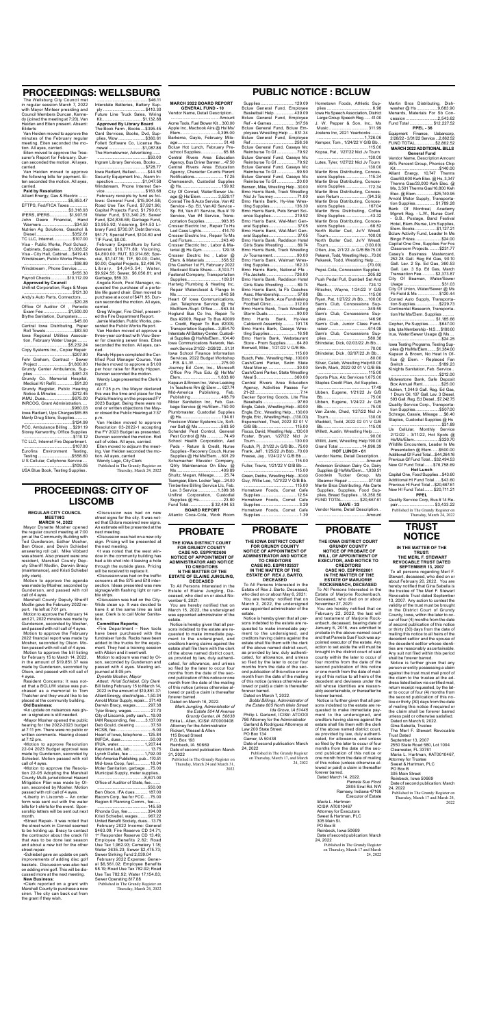**PROBATE**

**THE IOWA DISTRICT COURT GRUNDY COUNTY NOTICE OF PROBATE OF WILL, OF APPOINTMENT OF EXECUTOR, AND NOTICE TO** 

#### **CREDITORS CASE NO. ESPR102601 IN THE MATTER OF THE ESTATE OF MARJORIE ROCKENBACH, DECEASED**

To All Persons Interested in the Estate of Marjorie Rockenbach, Deceased, who died on or about November 27, 2021:

You are hereby notified that on February 22, 2022, the last will and testament of Marjorie Rockenbach, deceased, bearing date of January 6, 2016, was admitted to probate in the above-named court and that Pamela Sue Flock was appointed executor of the estate. Any action to set aside the will must be brought in the district court of said county within the later to occur of four months from the date of the second publication of this notice or one month from the date of mailing of this notice to all heirs of the decedent and devisees under the will whose identities are reasonably ascertainable, or thereafter be forever barred.

Notice is further given that all persons indebted to the estate are requested to make immediate payment to the undersigned, and creditors having claims against the estate shall file them with the clerk of the above named district court, as provided by law, duly authenticated, for allowance, and unless so filed by the later to occur of four months from the date of the second publication of this notice or one month from the date of mailing of this notice (unless otherwise allowed or paid) a claim is thereafter forever barred.

Dated March 14, 2022.

*Pamela Sue Flock* 2805 Siral Rd. NW Ramsey, Indiana 47166 Executor of Estate *Maria L. Hartman* ICIS#: AT0010467 Attorney for Executors Sweet & Hartman, PLC 305 Main St.

PO Box B

Reinbeck, Iowa 50669 Date of second publication: March 24, 2022

> Published in The Grundy Register on Thursday, March 17 and March 24, 2022

**THE IOWA DISTRICT COURT FOR GRUNDY COUNTY NOTICE OF APPOINTMENT OF ADMINISTRATOR AND NOTICE** 

**TO CREDITORS CASE NO. ESPR102537 IN THE MATTER OF THE ESTATE OF REX J. BARTO,** 

**DECEASED** To All Persons Interested in the Estate of Rex J. Barto, Deceased, who died on or about May 6, 2021: You are hereby· notified that on March 2, 2022, the undersigned was appointed administrator of the estate.

Notice is hereby given that all persons indebted to the estate are requested to make immediate payment to the undersigned, and creditors having claims against the estate shall file them with the clerk of the above named district court, as provided by law, duly authenticated, for allowance, and unless so filed by the later to occur four months from the date of the second publication of this notice or one month from the date of the mailing of this notice (unless otherwise allowed or paid) a claim is thereafter forever barred. Dated on March 7, 2022.

*Bobbi Billings, Administrator of the Estate 805 North Main Street Ida Grove, IA 51445* Philip L Garland, ICIS#: ATOO0l 786 Attorney for the Administrator Garland & Rodriguez Attorneys at Law 200 State Street PO Box 134 Gamer, IA 50438 Date of second publication: March 24, 2022 Published in The Grundy Register on Thursday, March 17, and March 24, 2022

## **TRUST NOTICE**

### **IN THE MATTER OF THE TRUST:**

#### **THE MERL F. STEWART REVOCABLE TRUST DATED SEPTEMBER 13, 2007**

To all persons regarding Merl F. Stewart, deceased, who died on or about February 20, 2022. You are hereby notified that Gina Sabella is the trustee of The Merl F. Stewart Revocable Trust dated September 13, 2007. Any action to contest the validity of the trust must be brought in the District Court of Grundy County, Iowa, within the later to occur of four (4) months from the date of second publication of this notice or thirty (30) days from the date of mailing this notice to all heirs of the decedent settlor and the spouse of the decedent settlor whose identities are reasonably ascertainable. Any suit not filed within this period shall be forever barred.

Eurofins Environment Testing,<br>Testing, S558.60 Testing .............................\$558.60 U S Cellular, Cellphone Service....

> Notice is further given that any person or entity possessing a claim against the trust must mail proof of the claim to the trustee at the address listed below via certified mail, return receipt requested, by the later to occur of four (4) months from the second publication of this notice or thirty (30) days from the date of mailing this notice if required or the claim shall be forever barred unless paid or otherwise satisfied. Dated on March 9, 2022.

General, \$16,771.89; Visioning, \$4,800.00; RUT, \$3,914.68; Special, \$1,147.16; TIF, \$0.00; Debt, \$0.00; Capital Projects, \$2,496.74; Library, \$4,645.54; Water, \$9,924.55; Sewer, \$6,056.81; and Garbage, \$59.33.

> Gina Sabella, Trustee The Merl F. Stewart Revocable Trust Dated

September 13, 2007 2550 State Road 580, Lot 1004

Clearwater, FL 33761 Maria L. Hartman, #AT0010467,

Attorney for Trustee

Sweet & Hartman, PLC

PO Box B

305 Main Street Reinbeck, Iowa 50669

Date of second publication: March

24, 2022

Published in The Grundy Register on Thursday, March 17 and March 24, 2022

## **PROCEEDINGS: WELLSBURG**

The Wellsburg City Council met in regular session March 7, 2022 with Mayor Minteer presiding and Council Members Duncan, Kennedy (joined the meeting at 7:20), Van Heiden and Eiten present. Absent: Eilderts

> ing. Van Heiden seconded the motion. All ayes, carried Wendy Lage, City Clerk

Van Heiden moved to approve the minutes of the February regular meeting. Eiten seconded the motion. All ayes, carried.

Eiten moved to approve the Treasurer's Report for February. Duncan seconded the motion. All ayes, carried.

Van Heiden moved to approve the following bills for payment. Eiten seconded the motion. All ayes, carried.

### **Paid by Resolution**

Alliant Energy, Gas & Electric.

.......\$5,853.47 EFTPS, Fed/FICA Taxes .....

......................................\$3,318.93 IPERS, IPERS................ \$1,907.51 John Deere Financial, Hand Warmers ............................\$34.50 Nutrien Ag Solutions, Gasohol & Diesel...............................\$352.61 TC LLC, Internet................ \$107.00 Visa - Public Works, Pool School, Cabinets, Supplies .......\$1,008.52 Visa - City Hall, Cabinet....\$419.43 Windstream, Public Works Phone. ...........................................\$98.89 Windstream , Phone Service.........

.........................................\$155.30 Payroll Checks..............\$10,112.09 **Approved by Council** Unifirst Corporation, Rugs & Mops

......................................... \$121.30 Andy's Auto Parts, Connectors ..... ...........................................\$20.28 Office Of Auditor Of , Periodic Exam Fee .....................\$1,500.00 Blythe Sanitation, Dumpsters........ ...........................................\$45.00 Central Iowa Distributing, Paper Roll Towels ........................\$83.50 Iowa Regional Utilities Association, February Water Usage......... ......................................\$5,232.24 Copy Systems Inc., Copier Repair ......................................... \$207.90 Fehr Graham, Contract - Sewer Project ..........................\$1,800.00 Grundy Center Ambulance, Supplies .................................\$481.23 Grundy Co. Memorial Hospital, Medical Kit Refill................\$91.20 Grundy Register, Public Hearing Notice & Minutes .............\$212.45

IAMU, Dues.......................\$675.00 INRCOG, Grant Administration..... .........................................\$960.03

Iowa Radiant, Ups Charges\$65.85 Manly Drug Store, Supplies...... .........................................\$124.99

PCC, Ambulance Billing ... \$291.19 Storey Kenworthy, Office Supplies ..........................................\$110.12

TC LLC, Internet Fire Department. ......................................... \$107.00

.........................................\$109.05 USA Blue Book, Testing Supplies .

........................................... \$46.11 Interstate Batteries, Battery Sup-

ply ....................................\$410.30 Future Line Truck Sales, Wiring Kit.................................. \$1,132.88 **Approved By Library Board** The Book Farm , Books ....\$395.45 Card Services, Books, Dvd, Supplies, Wow .......................\$360.61 Follett Software Co, License Renewal ............................ \$1,087.86 The Hometowner, Advertising....... ...........................................\$50.00 Ingram Library Services, Books.... .........................................\$728.77 Iowa Radiant, Ballast..........\$44.50 Security Equipment Inc., Alarm Inspection ........................ \$1,047.58 Windstream, Phone Internet Service ..................................\$163.68 February receipts by fund as follows: General Fund, \$15,904.58; Road Use Tax Fund, \$7,921.96; Capital Projects Fund, \$1,790.61; Water Fund, \$13,340.25; Sewer Fund, \$24,836.66; Garbage Fund, \$3,955.92; Visioning, \$44.53 Library Fund, \$730.07; Debt Service, \$51.71; Special Fund, \$104.60 and TIF Fund, \$0.00. February Expenditure by fund:

Angela Koch, Pool Manager, requested the purchase of a portable life guard chair. Eiten moved to purchase at a cost of \$471.95. Duncan seconded the motion. All ayes, carried.

Greg Winger, Fire Chief, presented the Fire Department Report. Jamie Madden, Public Works, presented the Public Works Report Van Heiden moved at approve a three-year contract with Visu-Sewer for cleaning sewer lines. Eiten seconded the motion. All ayes, car-

ried. Randy Hippen completed the Certified Pool Manager Course. Van Heiden moved to approve a \$1.00 per hour raise for Randy Hippen. Duncan seconded the motion. Wendy Lage presented the Clerk's

**PROBATE** Hometown Foods, Comet Cafe Supplies.................................1.39

report. At 7:35 p.m. the Mayor declared this was the time and place for the Public Hearing on the proposed FY 2023 Budget. Being there were no oral or written objections the Mayor closed the Public Hearing at 7:37 p.m.

Van Heiden moved to approve Resolution 03-2022-1 accepting the FY 2023 Budget as presented. Duncan seconded the motion. Roll call of votes. All ayes, carried. Eiten moved to adjourn the meet-

Published in The Grundy Register on Thursday, March 24, 2022

## **PROBATE**

**THE IOWA DISTRICT COURT FOR GRUNDY COUNTY CASE NO. ESPR102606**

**NOTICE OF APPOINTMENT OF ADMINISTRATOR AND NOTICE TO CREDITORS**

**N THE MATTER OF THE ESTATE OF ELAINE JUNGLING, DECEASED**

To All Persons Interested in the Estate of Elaine Jungling, Deceased, who died on or about November 6, 2021: You are hereby notified that on

March 15, 2022, the undersigned was appointed administrator of the estate.

Notice is hereby given that all persons indebted to the estate are requested to make immediate payment to the undersigned, and creditors having claims against the estate shall file them with the clerk of the above named district court, as provided by law, duly authenticated, for allowance, and unless so filed by the later to occur four months from the date of the second publication of this notice or one month from the date of the mailing of this notice (unless otherwise allowed or paid) a claim is thereafter forever barred.

Dated on March 16, 2022. *Mark Jungling, Administrator of the Estate 504 M Avenue Grundy Center, IA 50638* Erika L. Allen, ICIS#: AT0000408 Attorney for the Administrator Rickert, Wessel & Allen 115 Broad Street P.O. Box 193 Reinbeck, IA 50669 Date of second publication: March 31, 2022 Published in The Grundy Register on

Thursday, March 24 and March 31, 2022

#### **MARCH 2022 BOARD REPORT GENERAL FUND - 10**

Vendor Name, Detail Description.. ......................................... Amount Acme Tools, Fuel Blower Kit ...300.00 Apple Inc, Macbook Airs @ Hs/Ms/ Elem................................4,395.00 Barkema, Gayle, February Mileage....................................... 51.48 Bcluw Hot Lunch, February Preschool Supplies ...................65.88 Central Rivers Area Education Agency, Bus Driver Banner... 47.50 Central Rivers Area Education Agency, Character Counts Parent Notifications......................... 17.25 Chemsearch, Custodial Supplies @ Hs..................................159.92 City Of Conrad, Water/Sewer Usage @ Hs/Elem. ............. 3,529.17 Conrad Tire & Auto Service, Van #2 Service - Sp. Ed, Van #2 Service - Sp. Ed, Van #1 Service, Bus # 19 Service, Van #4 Service, Transportation Supplies...............993.95 Crosser Electric Inc , Repair To Hs Led Cass Lights................. 414.70 Crosser Electric Inc , Repair To Ms Led Fixture.........................243.40 Crosser Electric Inc , Labor & Material @ Hs Gym................ 129.18 Crosser Electric Inc , Labor @ Elem. & Materials ..............358.52 Dhs Cashier 1st Fl, February 2022 Medicaid State Share..... 8,103.71 Fastenal Company, Transportation Supplies............................. 109.51 Hartwig Plumbing & Heating Inc, Repair Watercloset & Flange In Ms ......................................840.58 Heart Of Iowa Communications, Jan. Telephone Service @ Hs/ Ms/Elem./Supt. Office.......963.04 Hoglund Bus Co Inc, Repair To Bus #2009, Repair To Bus #2009 – Credit, Repair To Bus #2009, Transportation Supplies....3,854.70 Interstate All Battery Center, Custodial Supplies @ Hs/Ms/Elem...104.40 Iowa Communications Network, Network Service 2/1/22 - 2/28/22... 51.31 Iowa School Finance Information Services, 2022 Budget Workshop - P.B. & L.W. ......................275.00 Journey Ed .Com, Inc., Microsoft Office Pro Plus Edu @ Hs/Ms/ Elem................................1,833.60 Kapaun & Brown Inc, Valve Leaking In Teachers Rm @ Elem .... 627.74 Mid-America Publishing, Feb. Publishing..........................468.79 Moler Sanitation Inc, Feb. Garbage Service @ Hs/Elem..750.00 Plumbmaster, Custodial Supplies @ Hs..................................134.61 Precision Water Systems Llc, Softner Salt @ Ms....................563.50 Schendel Pest Control, General Pest Control @ Ms .............. 74.49 School Health Corporation, Aed Pads - Return & Credit, Nurse Supplies - Recovery Couch, Nurse Supplies @ Hs/Ms/Elem. ...691.29 Schumacher Elevator Company, Qtrly Maintenance On Elev. @ Ms ......................................409.89 Shultz, Megan, Mileage........ 25.74 Teamgear, Elem. Locker Tags ...24.00 Timberline Billing Service Llc, Feb. Lev. 3 Service.................1,399.38 Unifirst Corporation, Custodial Supplies @ Hs.....................23.80 Fund Total ...................\$ 32,494.53 **BOARD REPORT** Atlantic Coca-Cola, Work Room

#### **PUBLIC NOTICE : BCLUW** Supplies.............................129.09 Bcluw General Fund, Employee Basketball Help .................439.09 Bcluw General Fund, Employee Ref - 4 Games ................... 317.56 Bcluw General Fund, Bcluw Employees Wrestling Help .....831.34 Bcluw General Fund, Employee Ref .....................................258.36 Bcluw General Fund, Caseys Mc Reimburse To Gf .................79.92 Bcluw General Fund, Caseys Mc Reimburse To Gf .................79.92 Bcluw General Fund, Caseys Mc Reimburse To Gf .................99.90 Bcluw General Fund, Caseys Mc Reimburse To Gf .................20.00 Benson, Mike, Wrestling Help...30.00 Bmo Harris Bank, Track Wrestling Nicl Jv Tourney.................... 71.00 Bmo Harris Bank, Hy-Vee Wrestling Supplies.....................136.30 Bmo Harris Bank, Pets Smart Science Supplies....................219.92 Bmo Harris Bank, Wal-Mart General Supplies........................ 37.05 Bmo Harris Bank, Wal-Mart General Supplies........................ 37.05 Bmo Harris Bank, Raddison Hotel Girls State Wrestling ........... 89.74 Bmo Harris Bank, Track Wrestling Jv Tournament.....................90.00 Bmo Harris Bank, Walmart Wrestling Supplies.....................162.33 Bmo Harris Bank, National Ffa - Ffa Jackets ........................726.00 Bmo Harris Bank, Raddison Hotel Girls State Wrestling ........... 89.74 Bmo Harris Bank, Ia Fb Coaches Assc. Membership............... 57.88 Bmo Harris Bank, Ace Fundraising Football Clinic....................312.00 Bmo Harris Bank, Track Wrestling Storm Duals.........................90.00 Bmo Harris Bank, Hy-Vee Caldecott Assembly .......... 191.78 Bmo Harris Bank, Caseys Wrestling Supplies.......................16.98 Bmo Harris Bank, Webstaurant Store - Prom Supplies .........64.80 Bonwell, Mike , 1/21/22 V G/B Bb.. ........................................... 115.00 Busch, Pete , Wrestling Help...100.00 Cash/Cami Parker, Swim State Meal Money.........................30.00 Cash/Cami Parker, State Wrestling Meal \$................................360.00 Central Rivers Area Education Agency, Activities Passes For 21-22.......................................7.14 Decker Sporting Goods, Lite Flite Baseballs............................. 97.60 Engle, Caleb , Wrestling Help...60.00 Engle, Eric , Wrestling Help....130.00 Engle, Eric , Wrestling Help...(130.00) Espenschied, Thad, 2022 02 01 V G/B Bb ............................... 115.00 Fiscus, David, Wrestling Help...130.00 Foster, Bryan, 1/27/22 Nicl Jv Tourn..................................130.00 Foutch, Pj , 2/1/22 Jv G/B Bb...75.00 Frank, Jeff , 1/25/22 Jh Bbb...70.00 Freese, Jay , 1/24/22 V G/B Bb..... ........................................... 115.00 Fuller, Travis, 1/21/22 V G/B Bb .... ........................................... 115.00 Green, Deidra, Wrestling Help...30.00 Guy, Willie Lee, 1/21/22 V G/B Bb. ........................................... 115.00 Hometown Foods, Comet Cafe Supplies...............................12.54 Hometown Foods, Comet Cafe Supplies.................................3.29

Hometown Foods, Athletic Supplies .......................................6.98 Iowa Hs Speech Association, District Large Group Speech Reg. ..... 41.00 J. W. Pepper & Son, Inc., Ms Music ................................. 311.99 Jostens Inc, 2021 Yearbooks ........ ........................................1,726.06 Kemper, Tom , 1/24/22 V G/B Bb .. ........................................... 115.00 Kopsa, Pat , 1/27/22 Nicl Jv Tourn ...........................................130.00 Lutes, Tyler, 1/27/22 Nicl Jv Tourn ...........................................130.00 Martin Bros Distributing, Concessions Supplies ................... 115.34 Martin Bros Distributing, Concessions Supplies ...................172.34 Martin Bros Distributing, Concession Return ....................... (94.35) Martin Bros Distributing, Concessions Supplies ................... 167.04 Martin Bros Distributing, Coffee Shop Supplies .....................43.32 Martin Bros Distributing, Concessions Supplies .....................68.52 North Butler Csd, Jv/V Wrestl. Tourn..................................100.00 North Butler Csd, Jv/V Wrestl. Tourn............................... (100.00) Otten, Joe, 2/1/22 Jv G/B Bb75.00 Pekarek, Todd, Wrestling Help ...70.00 Pekarek, Todd, Wrestling Help..... .......................................... (70.00) Pepsi-Cola, Concession Supplies ...........................................205.82 Push Pedal Pull, Dumbell Set And Rack................................... 724.12 Ritscher, Wayne, 1/24/22 V G/B Bb....................................... 115.00 Ryan, Pat, 1/27/22 Jh Bb....100.00 Sam's Club, Concessions Supplies ...................................349.59 Sam's Club, Concessions Supplies ...................................146.96 Sam's Club, Junior Class Fundraiser..................................614.08 Sam's Club, Concessions Supplies ...................................580.38 Shindelar, Dick, 02/03/22 Jh Bb.... .............................................70.00 Shindelar, Dick , 02/07/22 Jh Bb ... .............................................80.00 Silver, Caleb, Wrestling Help 60.00 Smith, Mark, 2022 02 01 V G/B Bb ........................................... 115.00 Sports Plus, Atc Services 1,675.00 Staples Credit Plan, Ad Supplies .. ............................................. 17.49 Ubben, Eugene, 1/21/22 Jv G/B Bb.........................................75.00 Ubben, Eugene, 1/24/22 Jv G/B Bb.........................................75.00 Van Zante, Chad, 1/27/22 Nicl Jv Tourn..................................130.00 Waddell, Todd, 2022 02 01 V G/B Bb....................................... 115.00 Willett, Austin, Wrestling Help....... .............................................90.00 Willitt, Jami, Wrestling Help190.00 Grand Total ....................14,896.39 **HOT LUNCH - 61** Vendor Name, Detail Description.. ......................................... Amount

Anderson Erickson Dairy Co, Dairy Supplies @ Hs/Ms/Elem....1,939.51 Goodwin Tucker Group, Ms Steamer Repair ................. 377.60 Martin Bros Distributing, Ala Carte Supplies, Supplies, Food Supplies, Bread Supplies ...18,350.50 FUND TOTAL...............\$20,667.61

**SAVE - 33** Vendor Name, Detail Description.. ......................................... Amount Martin Bros Distributing, Dishwasher @ Hs ..................9,683.90 Menards, Materials For Sb Concession ...........................2,543.62 Fund Total .................... \$12,227.52 **PPEL - 36** Equipment Finance, Usbancorp,

2/28/22 - 3/31/22 Service ...2,862.52 FUND TOTAL.................\$2,862.52 **MARCH 2022 ADDITIONAL BILLS General Fund**

Vendor Name, Description Amount 95% Percent Group, Phonics Chip Kit.....................................\$140.00 Alliant Energy, 10,747 Therms Gas/60,600 Kwh Elec. @ Hs, 3,347 Therms Gas/33,000 Kwh Elec. @ Ms, 3,501 Therms Gas/16,800 Kwh Elec. @ Elem.................\$25,740.95 Arnold Motor Supply, Transportation Supplies.................\$1,789.28 Bank Of Montreal, Academy Mgmnt Reg. - L.W., Nurse Conf. - G.B., Postage, Band Festival Hotel, Elem./Nurse, Lim Supplies, Elem. Books ..................\$1,127.21 Bcluw Activity Fund, Leader In Me Bingo Prizes ......................\$24.00 Capital One One, Supplies For Fcs Classroom Projects......... \$231.77 Casey's Business Mastercard, 252.28 Gall. Reg Ed Gas, 90.10 Gall. Lev. 2 Sp. Ed Gas, 360.53 Gall. Lev. 3 Sp. Ed Gas, March Transaction Fee............\$2,373.87 City Of Beaman, Water/Sewer Usage ................................\$31.03 City Of Union, Water/Sewer @ Ms Fb Field & Ms ..................\$120.44 Conrad Auto Supply, Transportation Supplies....................\$229.73 Continental Research, Transportation/Hs/Ms/Elem. Supplies ...... ...................................... \$1,185.66 Gopher, Pe Supplies.........\$647.00 Ipta, Ipta Membership - N.S. ...\$180.00 Irua, Water/Sewer Usage @ Ms.... ...........................................\$24.25 Iowa Testing Programs, Testing Supplies @ Hs/Ms/Elem.........\$1,384.00 Kapaun & Brown, No Heat In Office @ Elem. - Replaced Fan Switch ..............................\$189.23 Kinights Sanitation, Feb. Service.. .........................................\$212.00 Midwestone Bank, Safe Deposit Box Annual Rent................\$25.00 Nutrien, 1,344.9 Gall. Reg. Ed Gas, 1 Drum Oil, 107 Gall. Lev. 3 Diesel, 593 Gall. Reg. Ed Diesel...\$7,242.75 Quality Service Corp., Transportation Supplies....................\$507.00 Schrage, Cassie, Mileage ....\$6.40 Staples, Custodial Supplies @ Hs ...........................................\$31.89 Us Cellular, Monthly Service 2/12/22 - 3/11/22, Hot Spots @ Hs/Ms/Elem.....................\$320.70 Wildlife Encounters, Leader In Me Presentation @ Elem. .....\$500.00 Additional Gf Fund Total....\$44,264.16 Previous Gf Fund Total ... \$32,494.53 New Gf Fund Total .......\$76,758.69 **Hot Lunch** Capital One, Food Supplies...\$43.60 Additional Hl Fund Total......\$43.60 Previous Hl Fund Total ...\$20,667.61 New Hl Fund Total........ \$20,711.21 **PPEL** Quality Service Corp, Bus # 14 Re-

pair............................... \$3,433.22 Published in The Grundy Register on Thursday, March 24, 2022

## **PROCEEDINGS: CITY OF LISCOMB**

**REGULAR CITY COUNCIL MEETING MARCH 14, 2022** Mayor Dynette Mosher opened the regular council meeting at 7:00 pm at the Community Building with

Ted Gunderson, Esther Mosher, Ben Olson, and Devin Schiebel answering roll call. Mike Vibbard was absent. Also present were one resident, Marshall County Deputy Sheriff Modlin, Darwin Bracy (maintenance), and Kristi Schiebel (city clerk).

Motion to approve the agenda was made by Mosher, seconded by Gunderson, and passed with roll call of 4 ayes.

Marshall County Deputy Sheriff Modlin gave the February 2022 report. He left at 7:01 pm.

Motion to approve the February 14 and 21, 2022 minutes was made by Gunderson, seconded by Mosher, and passed with roll call of 4 ayes. Motion to approve the February 2022 financial report was made by Mosher, seconded by Olson. Motion passed with roll call of 4 ayes. Motion to approve the bill listing for February 15 to March 14, 2022, in the amount of \$19,851.37 was made by Gunderson, seconded by Olson, and passed with roll call of 4 ayes.

Resident Concerns: It was noted that a BCLUW statue was purchased as a memorial to Tom Thatcher and they would like to be placed at the community building. **Old Business:**

•An update on nuisances was given: a signature is still needed.

•Mayor Mosher opened the public hearing for the 2022-2023 budget at 7:11 pm. There were no public or written comments. Hearing closed at 7:12 pm.

•Motion to approve Resolution 22-04 2023 Budget approval was made by Gunderson, seconded by Schiebel. Motion passed with roll call of 4 ayes.

•Motion to approve the Resolution 22-05 Adopting the Marshall County Multi-jurisdictional Hazard Mitigation Plan was made by Olson, seconded by Mosher. Motion passed with roll call of 4 ayes.

•Liberty in Liscomb – An order form was sent out with the water bills for t-shirts for the event. Sponsorship letters will be sent out next month.

•Street Repair- It was noted that the street work in Conrad seemed to be holding up. Bracy to contact the contractor about the crack fill that was to be done last season and about a new bid for the other street repair.

•Schiebel gave an update on park improvements of adding disc golf baskets. Discussion was also had on adding mini golf. This will be discussed more at the next meeting. **New Business:**

•Clerk reported on a grant with Marshall County to purchase a new siren. The city can back out from the grant if they wish.

•Discussion was had on new street signs for the city. It was noted that Eldora received new signs. An estimate will be presented at the next meeting.

•Discussion was had on a new city

sign. Pricing will be presented at the next meeting.

•It was noted that the west window in the community building has had a bb shot into it leaving a hole through the outside glass. Pricing will be received to replace it.

•Discussion was had on the traffic concerns at the S75 and E18 intersection. Ideas presented was new signage/with flashing light or rumble strips.

•Discussion was had on the City-Wide clean up. It was decided to have it at the same time as last year. Clerk is to call Moler Sanitation.

### **Committee Reports;**

•Fire Department – New tools have been purchased with the fundraiser funds. Racks have been added to the trucks for the equipment. They had a training session with Albion and it went well. Motion to adjourn was mad by Ol-

son, seconded by Gunderson and passed with 4 ayes. Meeting adjourned at 8:05 pm. *Dynette Mosher, Mayor*

| Attest: Kristi Schiebel, City Clerk                             |
|-----------------------------------------------------------------|
| Bill listing February 15 to March 14,                           |
| 2022 in the amount of \$19,851.37:                              |
| Alliant Energy, electric/gas1,50.34                             |
| Arnold Motor Supply, repair 371.40                              |
| Darwin Bracy, wages 297.38                                      |
| Tyler Bracy, wages 27.70                                        |
| City of Liscomb, petty cash 19.00                               |
| IAM Responding, fee 3,137.00                                    |
| Deb Gould, cleaning 37.50                                       |
| HCSB, fee 5.00                                                  |
| Heart of Iowa, telephone  125.84                                |
| IMFOA, dues50.00                                                |
| IRUA, water 1,207.44                                            |
| Keystone Lab, lab  13.75                                        |
| Lynch Dallas, fee  1,792.00                                     |
| Mid-America Publishing, pub170.51                               |
| Mid-Iowa Coop, fuel 18.04                                       |
| Moler Sanitation, garbage  75.00                                |
| Municipal Supply, meter supplies                                |
|                                                                 |
| Office of Auditor of State, fee                                 |
| 550.00                                                          |
| Ben Olson, IFA dues 187.00                                      |
| Racom Corp, fee for FCC75.00                                    |
| Region 6 Planning Comm., fee                                    |
| 145.50                                                          |
| Rhonda Guy, fee394.00                                           |
| Kristi Schiebel, wages  967.22                                  |
| United Benefit Society, dues 13.75                              |
| February 2022 Income: General                                   |
| \$463.09; Fire Reserve CD 34.71;                                |
| 1st Responder Reserve CD 13.49;<br>Employee Benefits 2.82; Road |
| Use Tax 1,962.93; Cemetery 1.18;                                |
| Water 3635.23; Sewer \$2,475.73;                                |
| Sewer Sinking Fund 2,039.04                                     |
| February 2022 Expense: Gener-                                   |
|                                                                 |

February 2022 Expense: General \$6,561.02; Employee Benefits 98.19; Road Use Tax 782.92; Road Use Tax 782.92; Water 17,154.83; Sewer Operating 817.88

Published in The Grundy Register on Thursday, March 24, 2022